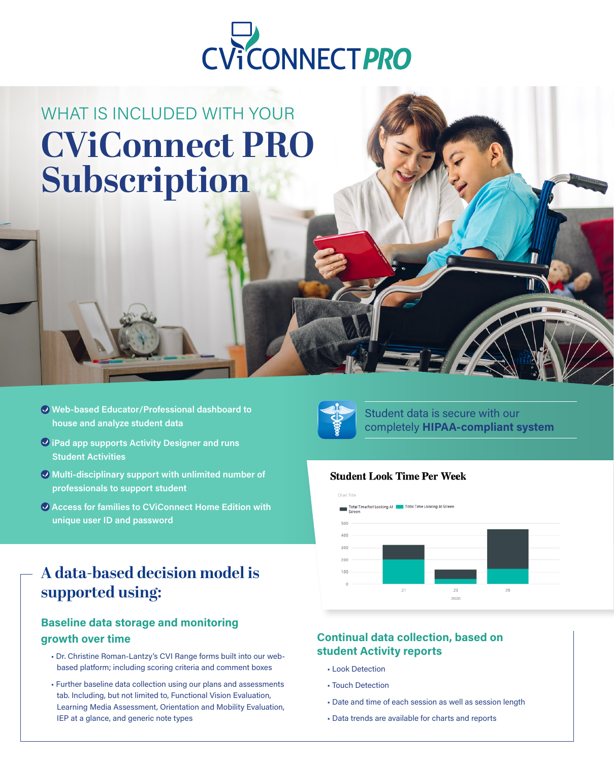

## WHAT IS INCLUDED WITH YOUR **CViConnect PRO Subscription**

- Web-based Educator/Professional dashboard to house and analyze student data
- $\overline{Q}$  iPad app supports Activity Designer and runs Student Activities
- Multi-disciplinary support with unlimited number of professionals to support student
- Access for families to CViConnect Home Edition with unique user ID and password

### **A data-based decision model is supported using:**

### Baseline data storage and monitoring growth over time

- Dr. Christine Roman-Lantzy's CVI Range forms built into our webbased platform; including scoring criteria and comment boxes
- Further baseline data collection using our plans and assessments tab. Including, but not limited to, Functional Vision Evaluation, Learning Media Assessment, Orientation and Mobility Evaluation, IEP at a glance, and generic note types



Student data is secure with our completely HIPAA-compliant system

#### **Student Look Time Per Week**



### Continual data collection, based on student Activity reports

- Look Detection
- Touch Detection
- Date and time of each session as well as session length
- Data trends are available for charts and reports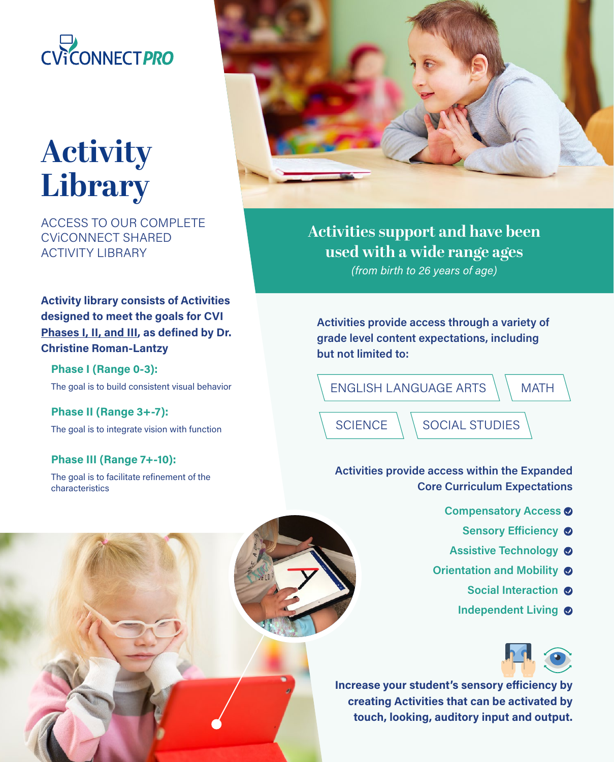

# **Activity Library**

ACCESS TO OUR COMPLETE CViCONNECT SHARED ACTIVITY LIBRARY

Activity library consists of Activities designed to meet the goals for CVI Phases I, II, and III, as defined by Dr. Christine Roman-Lantzy

Phase I (Range 0-3): The goal is to build consistent visual behavior

Phase II (Range 3+-7): The goal is to integrate vision with function

Phase III (Range 7+-10): The goal is to facilitate refinement of the characteristics



**Activities support and have been used with a wide range ages**  (from birth to 26 years of age)

Activities provide access through a variety of grade level content expectations, including but not limited to:

**MATH**  $SCIENCE \setminus SOCIAL$  STUDIES ENGLISH LANGUAGE ARTS

Activities provide access within the Expanded Core Curriculum Expectations

- Compensatory Access  $\odot$ 
	- Sensory Efficiency  $\otimes$
- Assistive Technology **O**
- Orientation and Mobility  $\bullet$ 
	- Social Interaction @
	- Independent Living  $\bullet$



Increase your student's sensory efficiency by creating Activities that can be activated by touch, looking, auditory input and output.